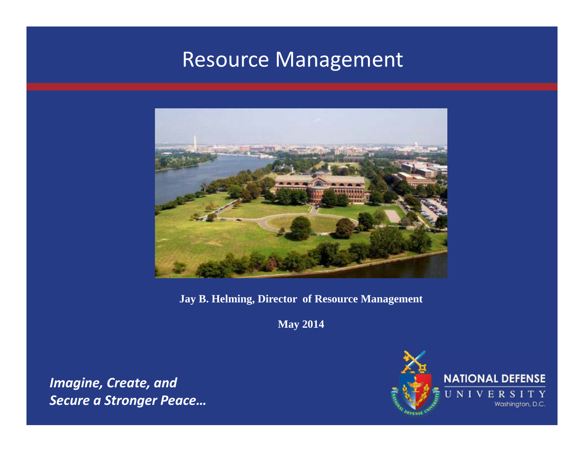### Resource Management



**Jay B. Helming, Director of Resource Management**

**May 2014**

*Imagine, Create, and Secure a Stronger Peace…*

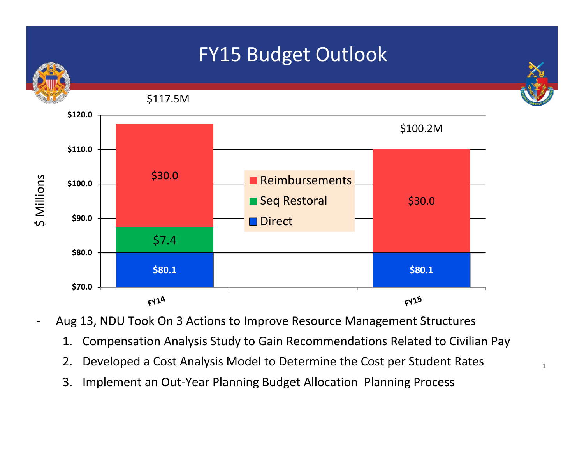

- Aug 13, NDU Took On 3 Actions to Improve Resource Management Structures
	- 1. Compensation Analysis Study to Gain Recommendations Related to Civilian Pay
	- 2. Developed a Cost Analysis Model to Determine the Cost per Student Rates
	- 3. Implement an Out‐Year Planning Budget Allocation Planning Process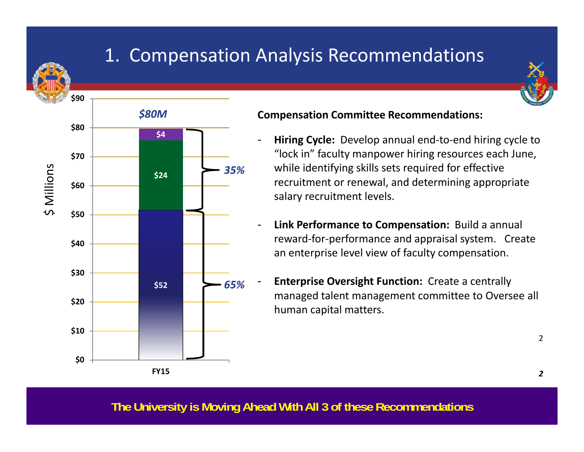

## 1. Compensation Analysis Recommendations





#### **Compensation Committee Recommendations:**

- **Hiring Cycle:** Develop annual end‐to‐end hiring cycle to "lock in" faculty manpower hiring resources each June, while identifying skills sets required for effective recruitment or renewal, and determining appropriate salary recruitment levels.
- **Link Performance to Compensation:** Build <sup>a</sup> annual reward‐for‐performance and appraisal system. Create an enterprise level view of faculty compensation.
	- **Enterprise Oversight Function:** Create <sup>a</sup> centrally managed talent management committee to Oversee all human capital matters.

2

**The University is Moving Ahead With All 3 of these Recommendations**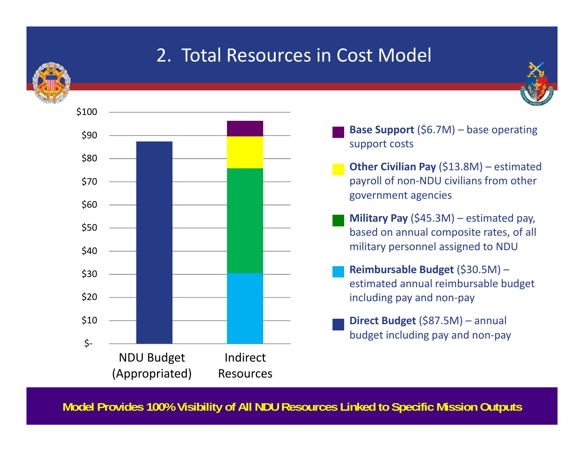

### 2. Total Resources in Cost Model



- **Base Support** (\$6.7M) base operating support costs
- **Other Civilian Pay** (\$13.8M) estimated payroll of non‐NDU civilians from other government agencies
- **Military Pay** (\$45.3M) estimated pay, based on annual composite rates, of all military personnel assigned to NDU
- **Reimbursable Budget** (\$30.5M) estimated annual reimbursable budget including pay and non‐pay
- **Direct Budget** (\$87.5M) annual budget including pay and non‐pay

**Model Provides 100% Visibility of All NDU Resources Linked to Specific Mission Outputs**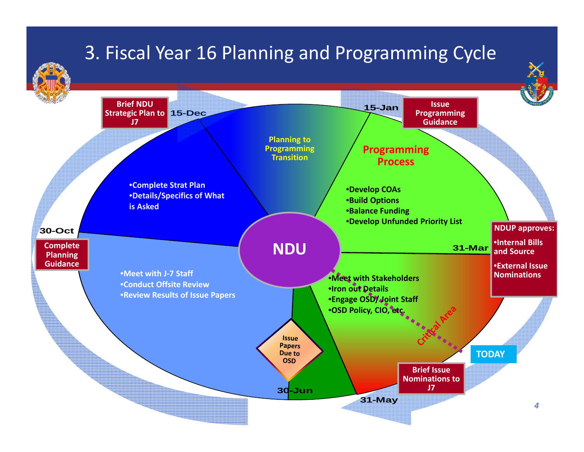